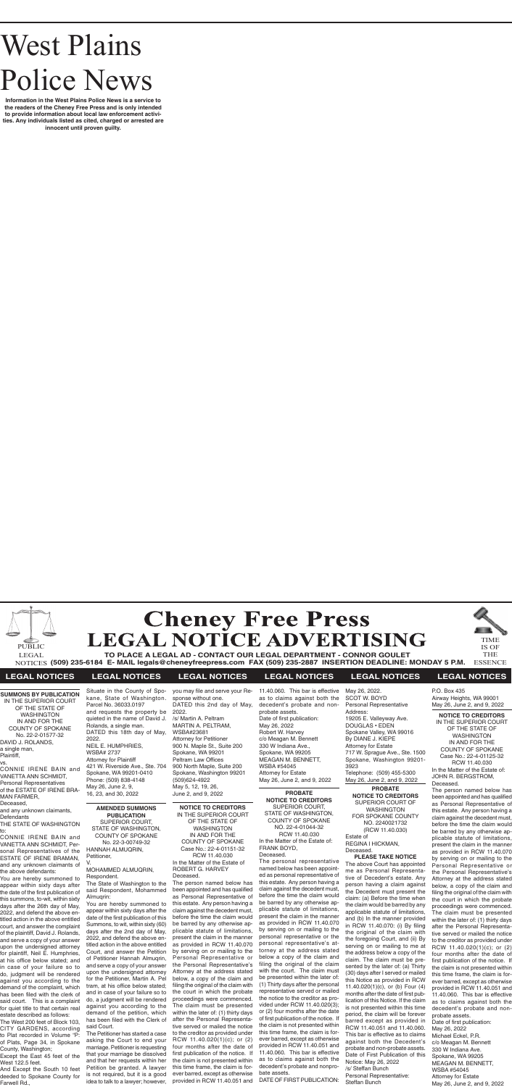# West Plains Police News

**Information in the West Plains Police News is a service to the readers of the Cheney Free Press and is only intended to provide information about local law enforcement activities. Any individuals listed as cited, charged or arrested are innocent until proven guilty.**



**TO PLACE A LEGAL AD - CONTACT OUR LEGAL DEPARTMENT - CONNOR GOULET (509) 235-6184 E- MAIL legals@cheneyfreepress.com FAX (509) 235-2887 INSERTION DEADLINE: MONDAY 5 P.M.** NOTICES THE ESSENCE LEGAL



IS OF



## **LEGAL NOTICES LEGAL NOTICES LEGAL NOTICES LEGAL NOTICES LEGAL NOTICES LEGAL NOTICES**

IN THE SUPERIOR COURT OF THE STATE OF WASHINGTON IN AND FOR THE COUNTY OF SPOKANE No. 22-2-01577-32

DAVID J. ROLANDS, a single man, Plaintiff, vs.

VANETTA ANN SCHMIDT, Personal Representatives

MAN FARMER, Deceased,

and any unknown claimants,

Defendants

THE STATE OF WASHINGTON

to:

CONNIE IRENE BAIN and VANETTA ANN SCHMIDT, Personal Representatives of the ESTATE OF IRENE BRAMAN, and any unknown claimants of the above defendants: You are hereby summoned to appear within sixty days after the date of the first publication of this summons, to-wit, within sixty days after the 26th day of May, 2022, and defend the above entitled action in the above entitled court, and answer the complaint of the plaintiff, David J. Rolands, and serve a copy of your answer upon the undersigned attorney for plaintiff, Neil E. Humphries, at his office below stated; and in case of your failure so to do, judgment will be rendered against you according to the demand of the complaint, which has been filed with the clerk of said court. This is a complaint for quiet title to that certain real estate described as follows: The West 200 feet of Block 103, CITY GARDENS, according to Plat recorded in Volume "P: of Plats, Page 34, in Spokane

**SUMMONS BY PUBLICATION** CONNIE IRENE BAIN and of the ESTATE OF IRENE BRA-Situate in the County of Spokane, State of Washington. Parcel No. 36033.0197 and requests the property be quieted in the name of David J. Rolands, a single man. DATED this 18th day of May, 2022. NEIL E. HUMPHRIES, WSBA# 2737 Attorney for Plaintiff 421 W. Riverside Ave., Ste. 704 Spokane, WA 99201-0410 Phone: (509) 838-4148 May 26, June 2, 9, 16, 23, and 30, 2022

County, Washington;

Except the East 45 feet of the

West 122.5 feet.

And Except the South 10 feet deeded to Spokane County for

Farwell Rd.,

## **AMENDED SUMMONS PUBLICATION**

SUPERIOR COURT, STATE OF WASHINGTON, COUNTY OF SPOKANE No. 22-3-00749-32 HANNAH ALMUQRIN, Petitioner, V.

#### MOHAMMED ALMUQRIN, Respondent.

The State of Washington to the

said Respondent, Mohammed Alrnuqrin:

You are hereby summoned to appear within sixty days after the date of the first publication of this Summons, to wit, within sixty (60) days after the 2nd day of May, 2022, and defend the above entitled action in the above entitled Court, and answer the Petition of Petitioner Hannah Almuqrin, and serve a copy of your answer upon the undersigned attorney for the Petitioner, Martin A. Pel tram, at his office below stated; and in case of your failure so to do, a judgment will be rendered against you according to the demand of the petition, which has been filed with the Clerk of said Court.

The Petitioner has started a case asking the Court to end your marriage. Petitioner is requesting and that her requests within her is not required, but it is a good

that your marriage be dissolved Petition be granted. A lawyer idea to talk to a lawyer; however,

**NOTICE TO CREDITORS** IN THE SUPERIOR COURT OF THE STATE OF WASHINGTON IN AND FOR THE COUNTY OF SPOKANE Case No.: 22-4-01151-32 RCW 11.40.030 In the Matter of the Estate of ROBERT G. HARVEY Deceased.

The person named below has been appointed and has qualified as Personal Representative of this estate. Any person having a claim against the decedent must, before the time the claim would be barred by any otherwise applicable statute of limitations, present the claim in the manner as provided in RCW 11.40.070 by serving on or mailing to the Personal Representative or the Personal Representative's Attorney at the address stated below, a copy of the claim and filing the original of the claim with the court in which the probate proceedings were commenced. The claim must be presented within the later of: (1) thirty days after the Personal Representative served or mailed the notice to the creditor as provided under RCW 11.40.020(1)(c); or (2) four months after the date of first publication of the notice. If the claim is not presented within this time frame, the claim is forever barred, except as otherwise provided in RCW 11.40.051 and

**PROBATE NOTICE TO CREDITORS** SUPERIOR COURT, STATE OF WASHINGTON, COUNTY OF SPOKANE NO. 22-4-01044-32 RCW 11.40.030 In the Matter of the Estate of: FRANK BOYD, Deceased.

The personal representative named below has been appointed as personal representative of this estate. Any person having a claim against the decedent must, before the time the claim would be barred by any otherwise applicable statute of limitations, present the claim in the manner as provided in RCW 11.40.070 by serving on or mailing to the personal representative or the personal representative's attorney at the address stated below a copy of the claim and filing the original of the claim with the court. The claim must be presented within the later of: (1) Thirty days after the personal representative served or mailed the notice to the creditor as provided under RCW 11.40.020(3); or (2) four months after the date of first publication of the notice. If the claim is not presented within this time frame, the claim is forever barred, except as otherwise provided in RCW 11.40.051 and 11.40.060. This bar is effective as to claims against both the decedent's probate and nonprobate assets.

DATE OF FIRST PUBLICATION:

you may file and serve your Response without one. DATED this 2nd day of May, 2022. /s/ Martin A. Peltram MARTIN A. PELTRAM, WSBA#23681 Attorney for Petitioner 900 N. Maple St., Suite 200 Spokane, WA 99201 Peltram Law Offices 900 North Maple, Suite 200 Spokane, Washington 99201 (509)624-4922 May 5, 12, 19, 26, June 2, and 9, 2022

11.40.060. This bar is effective

as to claims against both the decedent's probate and nonprobate assets. Date of first publication: c/o Meagan M. Bennett MEAGAN M. BENNETT, WSBA #54045 Attorney for Estate May 26, June 2, and 9, 2022

May 26, 2022 Robert W. Harvey 330 W Indiana Ave., Spokane, WA 99205

May 26, 2022.

SCOT W. BOYD Personal Representative Address: 19205 E. Valleyway Ave. DOUGLAS • EDEN Spokane Valley, WA 99016 By DIANE J. KIEPE Attorney for Estate 717 W. Sprague Ave., Ste. 1500 Spokane, Washington 99201- 3923 Telephone: (509) 455-5300 May 26, June 2, and 9, 2022

**PROBATE NOTICE TO CREDITORS** SUPERIOR COURT OF WASHINGTON FOR SPOKANE COUNTY NO. 2240021732 (RCW 11.40.030) REGINA I HICKMAN,

Estate of Deceased.

#### **PLEASE TAKE NOTICE**

The above Court has appointed me as Personal Representative of Decedent's estate. Any person having a claim against the Decedent must present the claim: (a) Before the time when the claim would be barred by any applicable statute of limitations, and (b) In the manner provided in RCW 11.40.070: (i) By filing the original of the claim with the foregoing Court, and (ii) By serving on or mailing to me at the address below a copy of the claim. The claim must be presented by the later of: (a) Thirty (30) days after I served or mailed this Notice as provided in RCW 11.40.020(1)(c), or (b) Four (4) months after the date of first publication of this Notice. If the claim is not presented within this time period, the claim will be forever barred except as provided in RCW 11.40.051 and 11.40.060. This bar is effective as to claims against both the Decedent's probate and non-probate assets. Date of First Publication of this Notice: May 26, 2022 /s/ Steffan Bunch Personal Representative: Steffan Bunch

#### **NOTICE TO CREDITORS**

IN THE SUPERIOR COURT OF THE STATE OF WASHINGTON IN AND FOR THE COUNTY OF SPOKANE Case No.: 22-4-01125-32 RCW 11.40.030 In the Matter of the Estate of: JOHN R. BERGSTROM, Deceased.

The person named below has been appointed and has qualified as Personal Representative of this estate. Any person having a claim against the decedent must, before the time the claim would be barred by any otherwise applicable statute of limitations, present the claim in the manner as provided in RCW 11.40.070 by serving on or mailing to the Personal Representative or the Personal Representative's Attorney at the address stated below, a copy of the claim and filing the original of the claim with the court in which the probate proceedings were commenced. The claim must be presented within the later of: (1) thirty days after the Personal Representative served or mailed the notice to the creditor as provided under RCW 11.40.020(1)(c); or (2) four months after the date of first publication of the notice. If the claim is not presented within this time frame, the claim is forever barred, except as otherwise provided in RCW 11.40.051 and 11.40.060. This bar is effective as to claims against both the decedent's probate and nonprobate assets. Date of first publication: May 26, 2022 Michael Eckel, P.R. c/o Meagan M. Bennett 330 W Indiana Ave. Spokane, WA 99205 MEAGAN M. BENNETT, WSBA #54045 Attorney for Estate May 26, June 2, and 9, 2022

P.O. Box 435 Airway Heights, WA 99001 May 26, June 2, and 9, 2022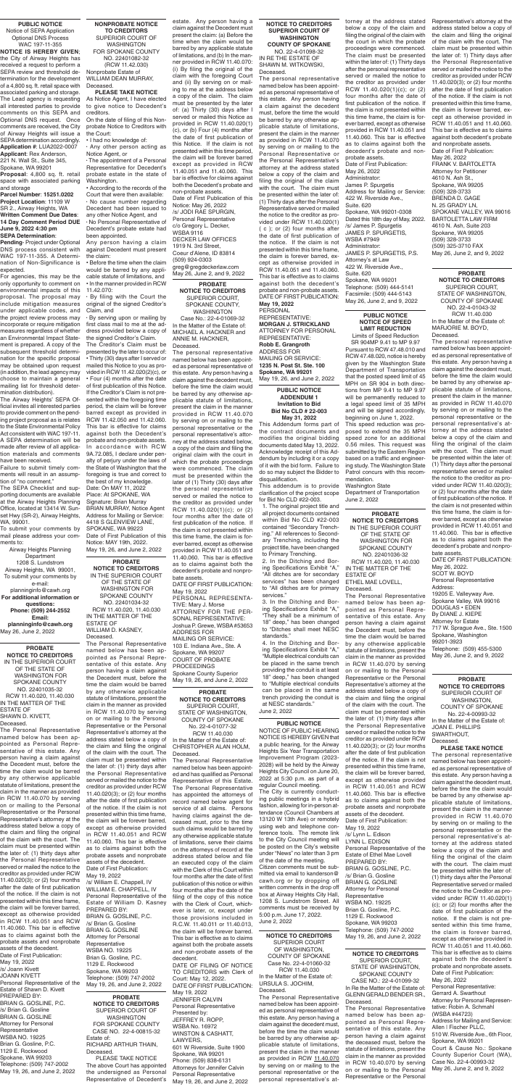#### **NOTICE TO CREDITORS SUPERIOR COURT OF WASHINGTON COUNTY OF SPOKANE** NO. 22-4-01098-32

IN RE THE ESTATE OF SHAWN M. WITKOWSKI, Deceased.

The personal representative named below has been appointed as personal representative of this estate. Any person having a claim against the decedent must, before the time the would be barred by any otherwise applicable statute of limitations, present the claim in the manner as provided in RCW 11.40.070 by serving on or mailing to the Personal Representative or the Personal Representative's attorney at the address stated below a copy of the claim and filing the original of the claim with the court. The claim must be presented within the later of: (1) Thirty days after the Personal Representative served or mailed the notice to the creditor as provided under RCW 11.40.020(1) ( c ); or (2) four months after the date of first publication of the notice. If the claim is not presented within this time frame, the claim is forever barred, except as otherwise provided in RCW 11.40.051 and 11.40.060. This bar is effective as to claims against both the decedent's probate and non-probate assets. DATE OF FIRST PUBLICATION: **May 19, 2022**

PERSONAL REPRESENTATIVE: **MORGAN J. STRICKLAND** ATTORNEY FOR PERSONAL REPRESENTATIVE: **Robb E. Grangroth** ADDRESS FOR MAILING OR SERVICE: **1235 N. Post St. Ste. 100 Spokane, WA 99201** May 19, 26, and June 2, 2022

**PROBATE NOTICE TO CREDITORS** SUPERIOR COURT, STATE OF WASHINGTON, COUNTY OF SPOKANE No. 22-4-01077-32 RCW 11.40.030 In the Matter of the Estate of: CHRISTOPHER ALAN HOLM,

Deceased. The Personal Representative named below has been appointed and has qualified as Personal Representative of this Estate. The Personal Representative has appointed the attorneys of record named below agent for service of all claims. Persons having claims against the deceased must, prior to the time such claims would be barred by any otherwise applicable statute of limitations, serve their claims on the attorneys of record at the address stated below and file an executed copy of the claim with the Clerk of this Court within four months after the date of first publication of this notice or within four months after the date of the filing of the copy of this notice with the Clerk of Court, whichever is later, or, except under those provisions included in R.C.W. 11.40.011 or 11.40.013, the claim will be forever barred. This bar is effective as to claims against both the probate assets and non-probate assets of the decedent. DATE OF FILING OF NOTICE

TO CREDITORS with Clerk of Court: May 12, 2022. DATE OF FIRST PUBLICATION: May 19, 2022 JENNIFER CALVIN Personal Representative Presented by: JEFFREY R. ROPP, WSBA No. 16972 WINSTON & CASHATT, LAWYERS, 601 W Riverside, Suite 1900 Spokane, WA 99201 Phone: (509) 838-6131 Attorneys for Jennifer Calvin Personal Representative May 19, 26, and June 2, 2022

## **PUBLIC NOTICE** Notice of SEPA Application

Optional DNS Process WAC 197-11-355 **NOTICE IS HEREBY GIVEN**;

the City of Airway Heights has received a request to perform a SEPA review and threshold determination for the development of a 4,800 sq. ft. retail space with associated parking and storage. The Lead agency is requesting all interested parties to provide comments on this SEPA and Optional DNS request. Once comments are received, the City of Airway Heights will issue a SEPA determination accordingly. **Application #**: LUA2022-0007 **Applicant**: Rex Anderson, 221 N. Wall St., Suite 345,

Spokane, WA 99201 **Proposal**: 4,800 sq. ft. retail space with associated parking

and storage **Parcel Number**: **15251.0202 Project Location**: 11109 W SR 2., Airway Heights, WA **Written Comment Due Dates**: **14 Day Comment Period DUE June 9, 2022 4:30 pm SEPA Determination**:

**Pending**- Project under Optional DNS process consistent with WAC 197-11-355. A Determination of Non-Significance is expected.

For agencies, this may be the only opportunity to comment on environmental impacts of this proposal. The proposal may include mitigation measures under applicable codes, and the project review process may incorporate or require mitigation measures regardless of whether an Environmental Impact Statement is prepared. A copy of the subsequent threshold determination for the specific proposal may be obtained upon request (in addition, the lead agency may choose to maintain a general mailing list for threshold determination distribution).

SPOKANE COUNTY WASHINGTON Case No.: 22-4-01069-32 In the Matter of the Estate of: MICHAEL A. HACKNER and

The Airway Heights' SEPA Official invites all interested parties to provide comment on the pending project proposal as is relates to the State Environmental Policy Act consistent with WAC 197-11. A SEPA determination will be made after review of all application materials and comments have been received.

Failure to submit timely comments will result in an assumption of "no comment."

The SEPA Checklist and supporting documents are available at the Airway Heights Planning Office, located at 13414 W. Sunset Hwy (SR-2), Airway Heights, WA, 99001.

To submit your comments by mail please address your comments to:

Airway Heights Planning **Department** 1208 S. Lundstrom Airway Heights, WA 99001, To submit your comments by e-mail: planninginfo@cawh.org **For additional information or questions: Phone: (509) 244-2552**

> MAILING OR SERVICE 103 E. Indiana Ave., Ste. A Spokane, WA 99207 COURT OF PROBATE PROCEEDINGS Spokane County Superior May 19, 26, and June 2, 2022

**Email: planninginfo@cawh.org**  May 26, June 2, 2022

**NONPROBATE NOTICE TO CREDITORS** SUPERIOR COURT OF WASHINGTON FOR SPOKANE COUNTY NO. 22401082-32 (RCW 11.42.030) Nonprobate Estate of WILLIAM DEAN MURRAY,

Deceased. **PLEASE TAKE NOTICE**

As Notice Agent, I have elected to give notice to Decedent's creditors.

On the date of filing of this Nonprobate Notice to Creditors with the Court:

• I had no knowledge of:

∙ Any other person acting as Notice Agent, or

∙ The appointment of a Personal Representative for Decedent's probate estate in the state of Washington.

• According to the records of the Court that were then available: ∙ No cause number regarding Decedent had been issued to any other Notice Agent, and ∙ No Personal Representative of

Decedent's probate estate had been appointed.

Any person having a claim against Decedent must present the claim:

• Before the time when the claim would be barred by any applicable statute of limitations, and • In the manner provided in RCW 11.42.070:

∙ By filing with the Court the original of the signed Creditor's Claim, and

∙ By serving upon or mailing by first class mail to me at the address provided below a copy of the signed Creditor's Claim.

The Creditor's Claim must be presented by the later to occur of: • Thirty (30) days after I served or mailed this Notice to you as provided in RCW 11.42.020(2)(c), or • Four (4) months after the date of first publication of this Notice. If the Creditor's Claim is not presented within the foregoing time period, the claim will be forever barred except as provided in RCW 11.42.050 and 11.42.060. This bar is effective for claims against both the Decedent's probate and non-probate assets. In accordance with RCW 9A.72.085, I declare under penalty of perjury under the laws of the State of Washington that the foregoing is true and correct to the best of my knowledge. Date: On MAY 11, 2022 Place: At SPOKANE, WA Signature: Brian Murray BRIAN MURRAY, Notice Agent Address for Mailing or Service: 4418 S GLENVIEW LANE, SPOKANE, WA 99223 Date of First Publication of this Notice: MAY 19th, 2022. May 19, 26, and June 2, 2022

**PROBATE NOTICE TO CREDITORS** IN THE SUPERIOR COURT OF THE STATE OF WASHINGTON FOR SPOKANE COUNTY NO. 22401035-32 RCW 11.40.020, 11.40.030 IN THE MATTER OF THE ESTATE OF SHAWN D. KIVFTT. Deceased. The Personal Representative

named below has been appointed as Personal Representative of this estate. Any person having a claim against the Decedent must, before the time the claim would be barred by any otherwise applicable statute of limitations, present the claim in the manner as provided in RCW 11.40.070 by serving on or mailing to the Personal Representative or the Personal Representative's attorney at the address stated below a copy of the claim and filing the original of the claim with the court. The claim must be presented within the later of: (1) thirty days after the Personal Representative served or mailed the notice to the creditor as provided under RCW 11.40.020(3); or (2) four months after the date of first publication of the notice. If the claim is not presented within this time frame, the claim will be forever barred, except as otherwise provided in RCW 11.40.051 and RCW 11.40.060. This bar is effective as to claims against both the probate assets and nonprobate assets of the decedent. Date of First Publication: May 19, 2022 /s/ Joann Kivett JOANN KIVETT Personal Representative of the Estate of Shawn D. Kivett PREPARED BY: BRIAN G. GOSLINE, P.C. /s/ Brian G. Gosline

BRIAN G. GOSLINE Attorney for Personal Representative WSBA NO. 19225 Brian G. Gosline, P.C. 1129 E. Rockwood Spokane, WA 99203 Telephone: (509) 747-2002 May 19, 26, and June 2, 2022

**PROBATE NOTICE TO CREDITORS** SUPERIOR COURT,

ANNIE M. HACKNER, Deceased.

The personal representative named below has been appointed as personal representative of this estate. Any person having a claim against the decedent must, before the time the claim would be barred by any otherwise applicable statute of limitations, present the claim in the manner provided in RCW 11.40.070 by serving on or mailing to the personal representative or the personal representative's attorney at the address stated below, a copy of the claim and filing the original claim with the court in which the probate proceedings were commenced. The claim must be presented within the later of (1) Thirty (30) days after the personal representative served or mailed the notice to the creditor as provided under RCW 11.40.020(1)(c); or (2) four months after the date of first publication of the notice. If the claim is not presented within this time frame, the claim is forever barred, except as otherwise provided in RCW 11.40.051 and 11.40.060. This bar is effective as to claims against both the decedent's probate and nonprobate assets.

DATE OF FIRST PUBLICATION: May 19, 2022 PERSONAL REPRESENTA-TIVE: Mary J. Morse ATTORNEY FOR THE PER-SONAL REPRESENTATIVE:

Joshua P. Grewe, WSBA #53653 ADDRESS FOR

## **PROBATE**

**NOTICE TO CREDITORS** IN THE SUPERIOR COURT OF THE STATE OF WASHINGTON FOR SPOKANE COUNTY NO. 22401036-32 RCW 11.40.020, 11.40.030 IN THE MATTER OF THE ESTATE OF ETHEL MAE LOVELL, Deceased.

**PROBATE NOTICE TO CREDITORS** IN THE SUPERIOR COURT OF THE STATE OF WASHINGTON FOR SPOKANE COUNTY NO. 22401034-32 RCW 11.40.020, 11.40.030 IN THE MATTER OF THE ESTATE OF WILLIAM D. KASNEY, Deceased. The Personal Representative named below has been appointed as Personal Representative of this estate. Any person having a claim against the Decedent must, before the time the claim would be barred by any otherwise applicable statute of limitations, present the claim in the manner as provided in RCW 11.40.070 by serving on or mailing to the Personal Representative or the Personal Representative's attorney at the address stated below a copy of the claim and filing the original of the claim with the court. The claim must be presented within the later of: (1) thirty days after the Personal Representative served or mailed the notice to the creditor as provided under RCW 11.40.020(3); or (2) four months after the date of first publication of the notice. If the claim is not presented within this time frame, the claim will be forever barred, except as otherwise provided in RCW 11.40.051 and RCW 11.40.060. This bar is effective as to claims against both the probate assets and nonprobate assets of the decedent. Date of First Publication: May 19, 2022 /s/ William E. Chappell, IV WILLIAM E. CHAPPELL, IV Personal Representative of the Estate of William D. Kasney PREPARED BY: BRIAN G. GOSLINE, P.C. /s/ Brian G. Gosline BRIAN G. GOSLINE Attorney for Personal Representative WSBA NO. 19225 Brian G. Gosline, P.C. 1129 E. Rockwood Spokane, WA 99203 Telephone: (509) 747-2002 May 19, 26, and June 2, 2022 **PROBATE NOTICE TO CREDITORS** SUPERIOR COURT OF WASHINGTON FOR SPOKANE COUNTY CASE NO. 22-4-00815-32 Estate of: RICHARD ARTHUR THAIN, Deceased. PLEASE TAKE NOTICE The above Court has appointed the undersigned as Personal Representative of Decedent's

The Personal Representative named below has been appointed as Personal Representative of this estate. Any person having a claim against the Decedent must, before the time the claim would be barred by any otherwise applicable statute of limitations, present the claim in the manner as provided in RCW 11.40.070 by serving on or mailing to the Personal Representative or the Personal Representative's attorney at the address stated below a copy of the claim and filing the original of the claim with the court. The claim must be presented within the later of: (1) thirty days after the Personal Representative served or mailed the notice to the creditor as provided under RCW 11.40.020(3); or (2) four months after the date of first publication of the notice. If the claim is not presented within this time frame, the claim will be forever barred, except as otherwise provided in RCW 11.40.051 and RCW 11.40.060. This bar is effective as to claims against both the probate assets and nonprobate assets of the decedent. Date of First Publication: May 19, 2022 /s/ Lynn L. Edison LYNN L. EDISON Personal Representative of the Estate of Ethel Mae Lovell PREPARED BY: BRIAN G. GOSLINE, P.C. /s/ Brian G. Gosline BRIAN G. GOSLINE Attorney for Personal **Representative** WSBA NO. 19225 Brian G. Gosline, P.C. 1129 E. Rockwood Spokane, WA 99203 Telephone: (509) 747-2002 May 19, 26, and June 2, 2022

**PROBATE NOTICE TO CREDITORS** SUPERIOR COURT,

STATE OF WASHINGTON, COUNTY OF SPOKANE NO. 22-4-01043-32 RCW 11.40.030 In the Matter of the Estate of: MARJORIE M. BOYD, Deceased.

The personal representative named below has been appointed as personal representative of this estate. Any person having a claim against the decedent must, before the time the claim would be barred by any otherwise applicable statute of limitations, present the claim in the manner as provided in RCW 11.40.070 by serving on or mailing to the personal representative or the personal representative's attorney at the address stated below a copy of the claim and filing the original of the claim with the court. The claim must be presented within the later of: (1) Thirty days after the personal representative served or mailed the notice to the creditor as provided under RCW 11.40.020(3); or (2) four months after the date of first publication of the notice. If the claim is not presented within this time frame, the claim is forever barred, except as otherwise provided in RCW 11.40.051 and 11.40.060. This bar is effective as to claims against both the decedent's probate and nonprobate assets.

DATE OF FIRST PUBLICATION: May 26, 2022. SCOT W. BOYD Personal Representative Address: 19205 E. Valleyway Ave. Spokane Valley, WA 99016 DOUGLAS • EDEN By DIANE J. KIEPE Attorney for Estate 717 W. Sprague Ave., Ste. 1500 Spokane, Washington 99201-3923 Telephone: (509) 455-5300 May 26, June 2, and 9, 2022

#### **PROBATE NOTICE TO CREDITORS** SUPERIOR COURT OF WASHINGTON, COUNTY OF SPOKANE No. 22-4-00993-32 In the Matter of the Estate of: JOAN E. PHILLIPS SWARTHOUT, Deceased.

#### **PLEASE TAKE NOTICE**

The personal representative named below has been appointed as personal representative of this estate. Any person having a claim against the decedent must, before the time the claim would be barred by any otherwise applicable statute of limitations, present the claim in the manner provided in RCW 11.40.070 by serving on or mailing to the personal representative or the personal representative's attorney at the address stated below a copy of the claim and filing the original of the claim with the court. The claim must be presented within the later of: (1) thirty days after the Personal Representative served or mailed the notice to the Creditor as provided under RCW 11.40.020(1) (c); or (2) four months after the date of first publication of the notice. If the claim is not presented within this time frame, the claim is forever barred, except as otherwise provided in RCW 11.40.051 and 11.40.060. This bar is effective as to claims against both the decedent's probate and nonprobate assets. Date of First Publication: May 26, 2022 Personal Representative: Gerrard A. Swarthout Attorney for Personal Representative: Robin A. Schmahl (WSBA #44723) Address for Mailing and Service: Allen | Fischer PLLC, 510 W. Riverside Ave., 6th Floor, Spokane, WA 99201 Court & Cause No.: Spokane County Superior Court (WA), Case No. 22-4-00993-32 May 26, June 2, and 9, 2022

**NOTICE TO CREDITORS** SUPERIOR COURT, STATE OF WASHINGTON, SPOKANE COUNTY CASE NO.: 22-4-01099-32 In Re the Matter of the Estate of: GLENN GERALD BENDER SR., Deceased.

The Personal Representative named below has been appointed as Personal Representative of this estate. Any person having a claim against the deceased must, before the statute of limitations, present the claim in the manner as provided in RCW 10.40.070 by serving on or mailing to the Personal Representative or the Personal

**NOTICE TO CREDITORS** SUPERIOR COURT OF WASHINGTON, COUNTY OF SPOKANE Case No. 22-4-01060-32 RCW 11.40.030 In the Matter of the Estate of: URSULA S. JOCHIM, Deceased.

The Personal Representative named below has been appointed as personal representative of this estate. Any person having a claim against the decedent must, before the time the claim would be barred by any otherwise applicable statute of limitations, present the claim in the manner as provided in RCW 11.40.070 by serving on or mailing to the personal representative or the personal representative's at-

estate. Any person having a claim against the Decedent must present the claim: (a) Before the time when the claim would be barred by any applicable statute of limitations, and (b) In the manner provided in RCW 11.40.070: (i) By filing the original of the claim with the foregoing Court and (ii) By serving on or mailing to me at the address below a copy of the claim. The claim must be presented by the later of: (a) Thirty (30) days after I served or mailed this Notice as provided in RCW 11.40.020(1) (c), or (b) Four (4) months after the date of first publication of this Notice. If the claim is not presented within this time period, the claim will be forever barred except as provided in RCW 11.40.051 and 11.40.060. This bar is effective for claims against both the Decedent's probate and non-probate assets. Date of First Publication of this Notice: May 26, 2022 /s/ JODI RAE SPURGIN, Personal Representative c/o Gregory L. Decker, WSBA 9116 DECKER LAW OFFICES 1919 N. 3rd Street, Coeur d'Alene, ID 83814 (509) 924-0303 greg@gregdeckerlaw.com May 26, June 2, and 9, 2022

> **PUBLIC NOTICE ADDENDUM 1 Invitation to Bid Bid No CLD # 22-003 May 31, 2022**

This Addendum forms part of the contract documents and modifies the original bidding documents dated May 13, 2022. Acknowledge receipt of this Addendum by including it or a copy of it with the bid form. Failure to do so may subject the Bidder to disqualification.

This addendum is to provide clarification of the project scope for Bid No CLD #22-003.

1. The original project title and all project documents contained within Bid No CLD #22-003 contained "Secondary Trenching." All references to Secondary Trenching, including the project title, have been changed to Primary Trenching.

2. In the Ditching and Boring Specifications Exhibit "A," "All ditches are for secondary services" has been changed to "All ditches are for primary services."

3. In the Ditching and Boring Specifications Exhibit "A," "They shall be a minimum of 18" deep," has been changed to "Ditches shall meet NESC standards." 4. In the Ditching and Boring Specifications Exhibit "A," "Multiple electrical conduits can be placed in the same trench providing the conduit is at least 18" deep," has been changed to "Multiple electrical conduits can be placed in the same trench providing the conduit is at NESC standards."

June 2, 2022

#### **PUBLIC NOTICE NOTICE OF SPEED LIMIT REDUCTION**

Limits of Speed Reduction SR 904MP 9.41 to MP 9.97 Pursuant to RCW 47.48.010 and RCW 47.48.020, notice is hereby given by the Washington State Department of Transportation that the posted speed limit of 45 MPH on SR 904 in both directions from MP 9.41 to MP 9.97 will be permanently reduced to a legal speed limit of 35 MPH and will be signed accordingly, beginning on June 1, 2022. This speed reduction was proposed to extend the 35 MPH

speed zone for an additional 0.56 miles. This request was submitted by the Eastern Region based on a traffic and engineering study. The Washington State Patrol concurs with this recommendation.

Washington State

Department of Transportation June 2, 2022

#### **PUBLIC NOTICE**

NOTICE OF PUBLIC HEARING NOTICE IS HEREBY GIVEN that a public hearing, for the Airway Heights Six Year Transportation Improvement Program (2023- 2028) will be held by the Airway Heights City Council on June 20, 2022 at 5:30 p.m. as part of a regular Council meeting.

The City is currently conducting public meetings in a hybrid fashion, allowing for in-person attendance (Council Chambers at 13120 W 13th Ave) or remotely using web and telephone conference tools. The remote link to the City Council meeting will be posted on the City's website under "News" no later than 3 pm of the date of the meeting. Citizen comments must be submitted via email to kanderson@ cawh.org or by dropping off written comments in the drop off box at Airway Heights City Hall, 1208 S. Lundstrom Street. All comments must be received by 5:00 p.m. June 17, 2022. June 2, 2022

torney at the address stated

below a copy of the claim and filing the original of the claim with the court in which the probate proceedings were commenced. The claim must be presented within the later of: (1) Thirty days after the personal representative served or mailed the notice to the creditor as provided under RCW 11.40.020(1)(c); or (2) four months after the date of first publication of the notice. If the claim is not presented within this time frame, the claim is forever barred, except as otherwise provided in RCW 11.40.051 and 11.40.060. This bar is effective as to claims against both the decedent's probate and nonprobate assets. Date of First Publication:

May 26, 2022 Administrator: James P. Spurgetis Address for Mailing or Service: 422 W. Riverside Ave., Suite. 620 Spokane, WA 99201-0308 Dated this 18th day of May, 2022. /s/ James P. Spurgetis JAMES P. SPURGETIS, WSBA #7949 Administrator: JAMES P. SPURGETIS, P.S. Attorney's at Law 422 W. Riverside Ave., Suite. 620 Spokane, WA 99201 Telephone: (509) 444-5141 Facsimile: (509) 444-5143 May 26, June 2, and 9, 2022

Representative's attorney at the address stated below a copy of the claim and filing the original of the claim with the court. The claim must be presented within the later of: 1) Thirty days after the Personal Representative served or mailed the notice to the creditor as provided under RCW 11.40.020(3); or (2) four months after the date of first publication of the notice. If the claim is not presented within this time frame, the claim is forever barred, except as otherwise provided in RCW 11.40.051 and 11.40.060. This bar is effective as to claims against both decedent's probate and nonprobate assets. Date of First Publication: May 26, 2022 FRANK V. BARTOLETTA Attorney for Petitioner 4610 N. Ash St., Spokane, WA 99205 (509) 328-3733 BRENDA D. GAGE N. 25 GRADY LN, SPOKANE VALLEY, WA 99016 BARTOLETTA LAW FIRM 4610 N. Ash, Suite 203 Spokane, WA 99205

(509) 328-3733 (509) 325-3710 FAX May 26, June 2, and 9, 2022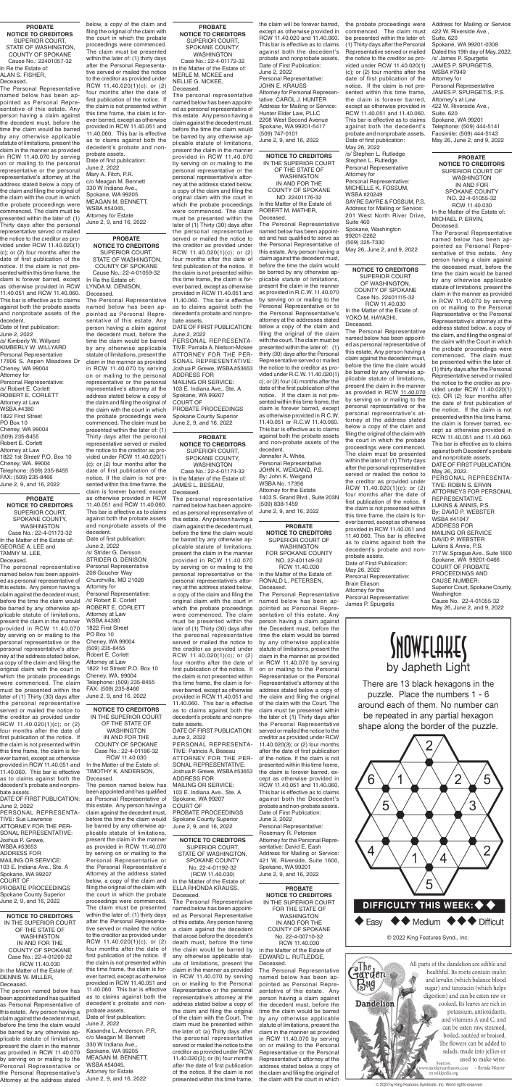**PROBATE NOTICE TO CREDITORS** SUPERIOR COURT OF WASHINGTON IN AND FOR SPOKANE COUNTY NO. 22-4-01055-32 RCW 11.40.030

In the Matter of the Estate of: MICHAEL P. ERVIN, Deceased.

The Personal Representative named below has been appointed as Personal Representative of this estate. Any person having a claim against the deceased must, before the time the claim would be barred by any otherwise applicable statute of limitations, present the claim in the manner as provided in RCW 11.40.070 by serving on or mailing to the Personal Representative or the Personal Representative's attorney at the address stated below, a copy of the claim, and filing the original of the claim with the Court in which the probate proceedings were commenced. The claim must be presented within the later of: (1) thirty days after the Personal Representative served or mailed the notice to the creditor as provided under RCW 11.40.020(1) (c); OR (2) four months after the date of first publication of the notice. If the claim is not presented within this time frame, the claim is forever barred, except as otherwise provided in RCW 11.40.051 and 11.40.060. This bar is effective as to claims against both Decedent's probate and nonprobate assets. DATE OF FIRST PUBLICATION: May 26, 2022. PERSONAL REPRESENTA-TIVE: ROBIN S. ERVIN ATTORNEYS FOR PERSONAL REPRESENTATIVE LUKINS & ANNIS, P.S. By: DAVID P. WEBSTER WSBA #41047

**Washington** Cause No. 22-4-01055-32 May 26, June 2, and 9, 2022 **INOVELOURE** 

ADDRESS FOR MAILING OR SERVICE DAVID P. WEBSTER Lukins & Annis, P.S.

717 W. Sprague Ave., Suite 1600 Spokane, WA 99201-0466 COURT OF PROBATE PROCEEDINGS AND CAUSE NUMBER:

Superior Court, Spokane County,

**NOTICE TO CREDITORS** SUPERIOR COURT OF WASHINGTON, COUNTY OF SPOKANE Case No. 22401115-32 RCW 11.40.030

In the Matter of the Estate of: YOKO M. HAYASHI, Deceased.

The Personal Representative named below has been appointed as personal representative of this estate. Any person having a claim against the decedent must, before the time the claim would be barred by any otherwise applicable statute of limitations, present the claim in the manner as provided in RCW 11.40.070 by serving on or mailing to the personal representative or the personal representative's attorney at the address stated below a copy of the claim and filing the original of the claim with the court in which the probate proceedings were commenced. The claim must be presented within the later of: (1) Thirty days after the personal representative served or mailed the notice to the creditor as provided under RCW 11.40.020(1)(c); or (2) four months after the date of first publication of the notice. If the claim is not presented within this time frame, the claim is forever barred, except as otherwise provided in RCW 11.40.051 and 11.40.060. This bar is effective as to claims against both the decedent's probate and nonprobate assets. Date of First Publication: May 26, 2022 Personal Representative: Brain Eliason Attorney for the Personal Representative: James P. Spurgetis

**PROBATE NOTICE TO CREDITORS** IN THE SUPERIOR COURT FOR THE STATE OF WASHINGTON IN AND FOR THE COUNTY OF SPOKANE No. 22-4-00710-32 RCW 11.40.030 In the Matter of the Estate of EDWARD L. RUTLEDGE, Deceased.

The Personal Representative named below has been appointed as Personal Representative of this estate. Any person having a claim against the decedent must, before the time the claim would be barred by any otherwise applicable statute of limitations, present the claim in the manner as provided in RCW 11.40.070 by serving on or mailing to the Personal Representative or the Personal Representative's attorney at the address stated below a copy of the claim and filing the original of the claim with the court in which



There are 13 black hexagons in the puzzle. Place the numbers 1 - 6 around each of them. No number can be repeated in any partial hexagon shape along the border of the puzzle.



© 2022 King Features Synd., Inc.

aThe<br>**Jarden** 

**Dandelion** 

 $B<sub>w</sub>$ 



© 2022 by King Features Syndicate, Inc. World rights reserved.

**PROBATE NOTICE TO CREDITORS** SUPERIOR COURT, STATE OF WASHINGTON, COUNTY OF SPOKANE Cause No.: 22-4-01059-32 In Re the Estate of: LYNDA M. DENISON, Deceased.

The Personal Representative named below has been appointed as Personal Representative of this estate. Any person having a claim against the decedent must, before the time the claim would be barred by any otherwise applicable statute of limitations, present the claim in the manner as provided in RCW 11.40.070 by serving on or mailing to the personal representative or the personal representative's attorney at the address stated below a copy of the claim and filing the original of the claim with the court in which the probate proceedings were commenced. The claim must be presented within the later of: (1) Thirty days after the personal representative served or mailed the notice to the creditor as provided under RCW 11.40.020(1) (c); or (2) four months after the date of first publication of the notice. If the claim is not presented within this time frame, the claim is forever barred, except as otherwise provided in RCW 11.40.051 and RCW 11.40.060. This bar is effective as to claims against both the probate assets and nonprobate assets of the decedent.

Date of first publication: June 2, 2022 /s/ Strider G. Denison STRIDER G. DENISON Personal Representative 208 Goucher Way Churchville, MD 21028 Attorney for Personal Representative: /s/ Robert E. Corlett ROBERT E. CORLETT Attorney at Law WSBA #4380 1822 First Street PO Box 10 Cheney, WA 99004 (509) 235-8455 Robert E. Corlett Attorney at Law 1822 1st Street/ P.O. Box 10 Cheney, WA. 99004 Telephone: (509) 235-8455 FAX: (509) 235-8466 June 2, 9, and 16, 2022

**PROBATE NOTICE TO CREDITORS** SUPERIOR COURT, STATE OF WASHINGTON, COUNTY OF SPOKANE Cause No.: 22401057-32 In Re the Estate of: ALAN S. FISHER, Deceased.

The Personal Representative named below has been appointed as Personal Representative of this estate. Any person having a claim against the decedent must, before the time the claim would be barred by any otherwise applicable statute of limitations, present the claim in the manner as provided in RCW 11.40.070 by serving on or mailing to the personal representative or the personal representative's attorney at the address stated below a copy of the claim and filing the original of the claim with the court in which the probate proceedings were commenced. The claim must be presented within the later of: (1) Thirty days after the personal representative served or mailed the notice to the creditor as provided under RCW 11.40.020(1) (c); or (2) four months after the date of first publication of the notice. If the claim is not presented within this time frame, the claim is forever barred, except as otherwise provided in RCW 11.40.051 and RCW 11.40.060. This bar is effective as to claims against both the probate assets and nonprobate assets of the

decedent. Date of first publication: June 2, 2022 /s/ Kimberly W. Willyard KIMBERLY W. WILLYARD Personal Representative 17806 S. Aspen Meadows Dr Cheney, WA 99004 Attorney for Personal Representative: /s/ Robert E. Corlett ROBERT E. CORLETT Attorney at Law WSBA #4380 1822 First Street PO Box 10 Cheney, WA 99004 (509) 235-8455 Robert E. Corlett Attorney at Law 1822 1st Street/ P.O. Box 10 Cheney, WA. 99004 Telephone: (509) 235-8455 FAX: (509) 235-8466 June 2, 9, and 16, 2022

**PROBATE** 

**NOTICE TO CREDITORS** SUPERIOR COURT OF WASHINGTON FOR SPOKANE COUNTY NO. 22-401149-32 RCW 11.40.030 In the Matter of the Estate of: RONALD L. PETERSEN, Deceased.

The Personal Representative named below has been appointed as Personal Representative of this estate. Any person having a claim against the Decedent must, before the time the claim would be barred by any otherwise applicable statute of limitations, present the claim in the manner as provided in RCW 11.40.070 by serving on or mailing to the Personal Representative or the Personal Representative's attorney at the address stated below a copy of the claim and filing the original of the claim with the Court. The claim must be presented within the later of: (1) Thirty days after the Personal Representative served or mailed the notice to the creditor as provided under RCW 11.40.020(3); or (2) four months after the date of first publication of the notice. If the claim is not presented within this time frame, the claim is forever barred, except as otherwise provided in RCW 11.40.051 and 11.40.060. This bar is effective as to claims against both the Decedent's probate and non-probate assets. Date of First Publication: June 2, 2022 Personal Representative: Rosemary R. Petersen Attorney for the Personal Representative: David E. Eash Address for Mailing or Service: 421 W. Riverside, Suite 1600, Spokane, WA 99201 June 2, 9, and 16, 2022

**NOTICE TO CREDITORS** IN THE SUPERIOR COURT OF THE STATE OF WASHINGTON IN AND FOR THE COUNTY OF SPOKANE NO. 22401176-32 In the Matter of the Estate of: ROBERT M. MATHER,

Deceased.

The Personal Representative named below has been appointed and has qualified to serve as the Personal Representative of this estate. Any person having a claim against the decedent must, before the time the claim would be barred by any otherwise applicable statute of limitations, present the claim in the manner as provided in R.C.W. 11.40.070 by serving on or mailing to the Personal Representative or to the Personal Representative's attorney at the addresses stated below a copy of the claim and filing the original of the claim with the court. The claim must be presented within the later of: (1) thirty (30) days after the Personal Representative served or mailed the notice to the creditor as provided under R.C.W. 11.40.020(1) c); or (2) four (4) months after the date of the first publication of the notice. If the claim is not presented within this time frame, the claim is forever barred, except as otherwise provided in R.C.W. 11.40.051 or R.C.W 11.40.060. This bar is effective as to claims against both the probate assets and non-probate assets of the

decedent. Jennafer A. White, Personal Representative JOHN K. WEIGAND, P.S. By: John K. Weigand WSBA No. 17356 Attorney for the Estate 1403 S. Grand Blvd., Suite 203N (509) 838-1459 June 2, 9, and 16, 2022

**PROBATE NOTICE TO CREDITORS** SUPERIOR COURT, SPOKANE COUNTY, WASHINGTON Case No.: 22-4-01174-32

In the Matter of the Estate of: JAMES L. BESEAU, Deceased.

The personal representative named below has been appointed as personal representative of this estate. Any person having a claim against the decedent must, before the time the claim would be barred by any otherwise applicable statute of limitations, present the claim in the manner provided in RCW 11.40.070 by serving on or mailing to the personal representative or the personal representative's attorney at the address stated below, a copy of the claim and filing the original claim with the court in which the probate proceedings were commenced. The claim must be presented within the later of (1) Thirty (30) days after the personal representative served or mailed the notice to the creditor as provided under RCW 11.40.020(1)(c); or (2) four months after the date of first publication of the notice. If the claim is not presented within this time frame, the claim is forever barred, except as otherwise provided in RCW 11.40.051 and 11.40.060. This bar is effective as to claims against both the decedent's probate and nonprobate assets. DATE OF FIRST PUBLICATION: June 2, 2022 PERSONAL REPRESENTA-TIVE: Patricia A. Beseau ATTORNEY FOR THE PER-SONAL REPRESENTATIVE: Joshua P. Grewe, WSBA #53653 ADDRESS FOR MAILING OR SERVICE: 103 E. Indiana Ave., Ste. A Spokane, WA 99207 COURT OF PROBATE PROCEEDINGS Spokane County Superior June 2, 9, and 16, 2022

**NOTICE TO CREDITORS** IN THE SUPERIOR COURT OF THE STATE OF WASHINGTON IN AND FOR THE COUNTY OF SPOKANE Case No.: 22-4-01186-32 RCW 11.40.030 In the Matter of the Estate of: TIMOTHY K. ANDERSON, Deceased.

The person named below has been appointed and has qualified as Personal Representative of this estate. Any person having a claim against the decedent must, before the time the claim would be barred by any otherwise applicable statute of limitations, present the claim in the manner as provided in RCW 11.40.070 by serving on or mailing to the Personal Representative or the Personal Representative's Attorney at the address stated below, a copy of the claim and filing the original of the claim with the court in which the probate proceedings were commenced. The claim must be presented within the later of: (1) thirty days after the Personal Representative served or mailed the notice to the creditor as provided under RCW 11.40.020(1)(c); or (2) four months after the date of first publication of the notice. If the claim is not presented within this time frame, the claim is forever barred, except as otherwise provided in RCW 11.40.051 and 11.40.060. This bar is effective as to claims against both the decedent's probate and nonprobate assets. Date of first publication: June 2, 2022 Kasandra L. Anderson, P.R. c/o Meagan M. Bennett 330 W Indiana Ave., Spokane, WA 99205 MEAGAN M. BENNETT, WSBA #54045, Attorney for Estate

June 2, 9, and 16, 2022

**PROBATE NOTICE TO CREDITORS** SUPERIOR COURT, SPOKANE COUNTY, WASHINGTON Case No.: 22-4-01173-32 In the Matter of the Estate of: GEORGE A. LEE and TAMMY M. LEE, Deceased.

The personal representative named below has been appointed as personal representative of this estate. Any person having a claim against the decedent must, before the time the claim would be barred by any otherwise applicable statute of limitations, present the claim in the manner provided in RCW 11.40.070 by serving on or mailing to the

personal representative or the personal representative's attorney at the address stated below, a copy of the claim and filing the original claim with the court in which the probate proceedings were commenced. The claim must be presented within the later of (1) Thirty (30) days after the personal representative served or mailed the notice to the creditor as provided under RCW 11.40.020(1)(c); or (2) four months after the date of first publication of the notice. If the claim is not presented within this time frame, the claim is forever barred, except as otherwise provided in RCW 11.40.051 and 11.40.060. This bar is effective as to claims against both the decedent's probate and nonprobate assets.

DATE OF FIRST PUBLICATION: June 2, 2022 PERSONAL REPRESENTA-TIVE: Sue Lawrence ATTORNEY FOR THE PER-SONAL REPRESENTATIVE: Joshua P. Grewe, WSBA #53653 ADDRESS FOR MAILING OR SERVICE: 103 E. Indiana Ave., Ste. A Spokane, WA 99207 COURT OF PROBATE PROCEEDINGS Spokane County Superior June 2, 9, and 16, 2022

#### **PROBATE NOTICE TO CREDITORS** SUPERIOR COURT, SPOKANE COUNTY, WASHINGTON Case No.: 22-4-01172-32

In the Matter of the Estate of: MERLE M. MCKEE and NELLIE G. MCKEE, Deceased. The personal representative

named below has been appointed as personal representative of this estate. Any person having a claim against the decedent must, before the time the claim would be barred by any otherwise applicable statute of limitations, present the claim in the manner provided in RCW 11.40.070 by serving on or mailing to the personal representative or the personal representative's attorney at the address stated below, a copy of the claim and filing the original claim with the court in which the probate proceedings were commenced. The claim must be presented within the later of (1) Thirty (30) days after the personal representative served or mailed the notice to the creditor as provided under RCW 11.40.020(1)(c); or (2) four months after the date of first publication of the notice. If the claim is not presented within this time frame, the claim is forever barred, except as otherwise provided in RCW 11.40.051 and 11.40.060. This bar is effective as to claims against both the decedent's probate and nonprobate assets.

DATE OF FIRST PUBLICATION: June 2, 2022

PERSONAL REPRESENTA-TIVE: Pamala A. Nielson-Mckee ATTORNEY FOR THE PER-SONAL REPRESENTATIVE: Joshua P. Grewe, WSBA #53653 ADDRESS FOR MAILING OR SERVICE: 103 E. Indiana Ave., Ste. A Spokane, WA 99207 COURT OF PROBATE PROCEEDINGS Spokane County Superior June 2, 9, and 16, 2022

**NOTICE TO CREDITORS** SUPERIOR COURT, STATE OF WASHINGTON, SPOKANE COUNTY No. 22-4-01192-32 (RCW 11.40.030) In the Matter of the Estate of: ELLA RHONDA KRAUSS,

Deceased.

The Personal Representative named below has been appointed as Personal Representative of this estate. Any person having a claim against the decedent that arose before the decedent's death must, before the time the claim would be barred by any otherwise applicable statute of limitations, present the claim in the manner as provided in RCW 11.40.070 by serving on or mailing to the Personal Representative or the personal representative's attorney at the address stated below a copy of the claim and filing the original of the claim with the Court. The claim must be presented within the later of: (a) Thirty days after the personal representative served or mailed the notice to the creditor as provided under RCW 11.40.020(3); or (b) four months after the date of first publication of the notice. If the claim is not presented within this time frame,

**NOTICE TO CREDITORS** IN THE SUPERIOR COURT OF THE STATE OF WASHINGTON IN AND FOR THE COUNTY OF SPOKANE Case No.: 22-4-01200-32 RCW 11.40.030 In the Matter of the Estate of: DENNIS W. MILLER, Deceased.

The person named below has been appointed and has qualified as Personal Representative of this estate. Any person having a claim against the decedent must, before the time the claim would be barred by any otherwise applicable statute of limitations, present the claim in the manner as provided in RCW 11.40.070 by serving on or mailing to the Personal Representative or the Personal Representative's Attorney at the address stated below, a copy of the claim and filing the original of the claim with the court in which the probate proceedings were commenced. The claim must be presented within the later of: (1) thirty days after the Personal Representative served or mailed the notice to the creditor as provided under RCW 11.40.020(1)(c); or (2) four months after the date of first publication of the notice. If the claim is not presented within this time frame, the claim is forever barred, except as otherwise provided in RCW 11.40.051 and 11.40.060. This bar is effective as to claims against both the decedent's probate and nonprobate assets.

Date of first publication: June 2, 2022 Mary A. Fitch, P.R. c/o Meagan M. Bennett 330 W Indiana Ave., Spokane, WA 99205 MEAGAN M. BENNETT, WSBA #54045, Attorney for Estate June 2, 9, and 16, 2022

the claim will be forever barred, except as otherwise provided in RCW 11.40.020 and 11.40.060. This bar is effective as to claims against both the decedent's probate and nonprobate assets. Date of First Publication: June 2, 2022 Personal Representative: JOHN E. KRAUSS Attorney for Personal Representative: CAROL J. HUNTER Address for Mailing or Service: Hunter Elder Law, PLLC 2208 West Second Avenue Spokane, WA 99201-5417 (509) 747-0101 June 2, 9, and 16, 2022

the probate proceedings were commenced. The claim must be presented within the later of: (1) Thirty days after the Personal Representative served or mailed the notice to the creditor as provided under RCW 11.40.020(1) (c); or (2) four months after the date of first publication of the notice. If the claim is not presented within this time frame, the claim is forever barred, except as otherwise provided in RCW 11.40.051 and 11.40.060. This bar is effective as to claims against both the decedent's probate and nonprobate assets. Date of first publication: May 26, 2022 /s/ Stephen L. Rutledge Stephen L. Rutledge Personal Representative

Attorney for Personal Representative: MICHELLE K. FOSSUM, WSBA #20249 SAYRE SAYRE & FOSSUM, P.S. Address for Mailing or Service: 201 West North River Drive, Suite 460 Spokane, Washington 99201-2262 (509) 325-7330

May 26, June 2, and 9, 2022

Address for Mailing or Service: 422 W. Riverside Ave., Suite. 620 Spokane, WA 99201-0308 Dated this 19th day of May, 2022. /s/ James P. Spurgetis JAMES P. SPURGETIS, WSBA #7949 Attorney for Personal Representative JAMES P. SPURGETIS, P.S. Attorney's at Law 422 W. Riverside Ave., Suite. 620 Spokane, WA 99201 Telephone: (509) 444-5141 Facsimile: (509) 444-5143 May 26, June 2, and 9, 2022